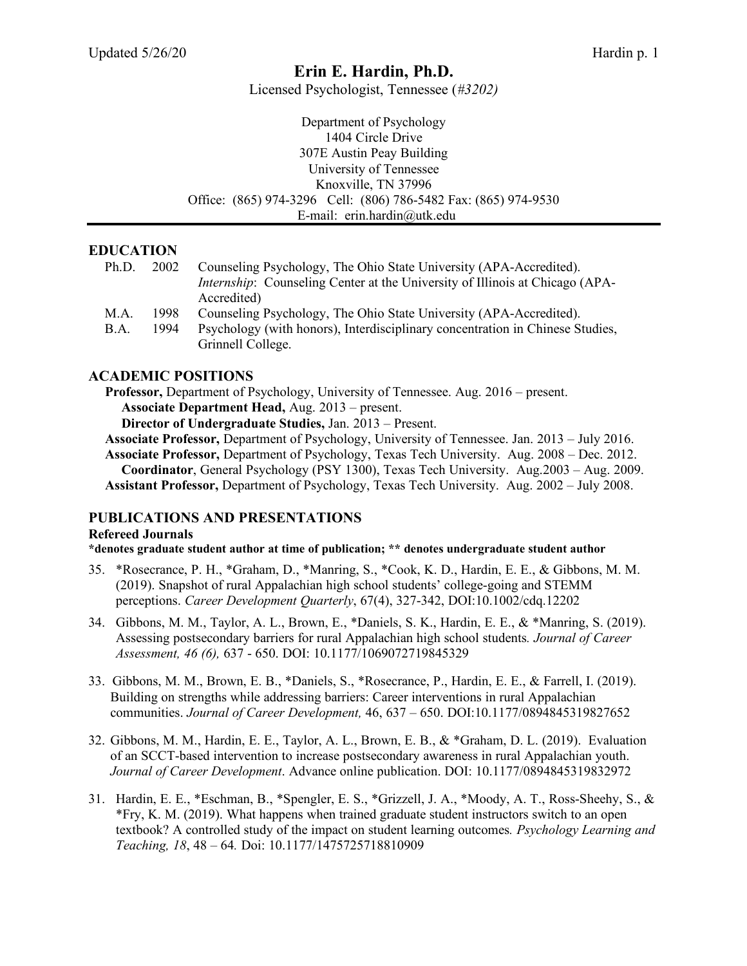# **Erin E. Hardin, Ph.D.**

Licensed Psychologist, Tennessee (*#3202)*

| Department of Psychology                                        |
|-----------------------------------------------------------------|
| 1404 Circle Drive                                               |
| 307E Austin Peay Building                                       |
| University of Tennessee                                         |
| Knoxville, TN 37996                                             |
| Office: (865) 974-3296 Cell: (806) 786-5482 Fax: (865) 974-9530 |
| E-mail: erin.hardin@utk.edu                                     |

# **EDUCATION**

| Ph.D. | 2002 | Counseling Psychology, The Ohio State University (APA-Accredited).                  |
|-------|------|-------------------------------------------------------------------------------------|
|       |      | <i>Internship:</i> Counseling Center at the University of Illinois at Chicago (APA- |
|       |      | Accredited)                                                                         |
| M.A.  | 1998 | Counseling Psychology, The Ohio State University (APA-Accredited).                  |
| B.A.  | 1994 | Psychology (with honors), Interdisciplinary concentration in Chinese Studies,       |
|       |      | Grinnell College.                                                                   |

# **ACADEMIC POSITIONS**

**Professor,** Department of Psychology, University of Tennessee. Aug. 2016 – present. **Associate Department Head,** Aug. 2013 – present.

**Director of Undergraduate Studies,** Jan. 2013 – Present.

**Associate Professor,** Department of Psychology, University of Tennessee. Jan. 2013 – July 2016. **Associate Professor,** Department of Psychology, Texas Tech University. Aug. 2008 – Dec. 2012. **Coordinator**, General Psychology (PSY 1300), Texas Tech University. Aug.2003 – Aug. 2009. **Assistant Professor,** Department of Psychology, Texas Tech University. Aug. 2002 – July 2008.

#### **PUBLICATIONS AND PRESENTATIONS**

#### **Refereed Journals**

**\*denotes graduate student author at time of publication; \*\* denotes undergraduate student author**

- 35. \*Rosecrance, P. H., \*Graham, D., \*Manring, S., \*Cook, K. D., Hardin, E. E., & Gibbons, M. M. (2019). Snapshot of rural Appalachian high school students' college-going and STEMM perceptions. *Career Development Quarterly*, 67(4), 327-342, DOI:10.1002/cdq.12202
- 34. Gibbons, M. M., Taylor, A. L., Brown, E., \*Daniels, S. K., Hardin, E. E., & \*Manring, S. (2019). Assessing postsecondary barriers for rural Appalachian high school students*. Journal of Career Assessment, 46 (6),* 637 - 650. DOI: 10.1177/1069072719845329
- 33. Gibbons, M. M., Brown, E. B., \*Daniels, S., \*Rosecrance, P., Hardin, E. E., & Farrell, I. (2019). Building on strengths while addressing barriers: Career interventions in rural Appalachian communities. *Journal of Career Development,* 46, 637 – 650. DOI:10.1177/0894845319827652
- 32. Gibbons, M. M., Hardin, E. E., Taylor, A. L., Brown, E. B., & \*Graham, D. L. (2019). Evaluation of an SCCT-based intervention to increase postsecondary awareness in rural Appalachian youth. *Journal of Career Development*. Advance online publication. DOI: 10.1177/0894845319832972
- 31. Hardin, E. E., \*Eschman, B., \*Spengler, E. S., \*Grizzell, J. A., \*Moody, A. T., Ross-Sheehy, S., & \*Fry, K. M. (2019). What happens when trained graduate student instructors switch to an open textbook? A controlled study of the impact on student learning outcomes*. Psychology Learning and Teaching, 18*, 48 – 64*.* Doi: 10.1177/1475725718810909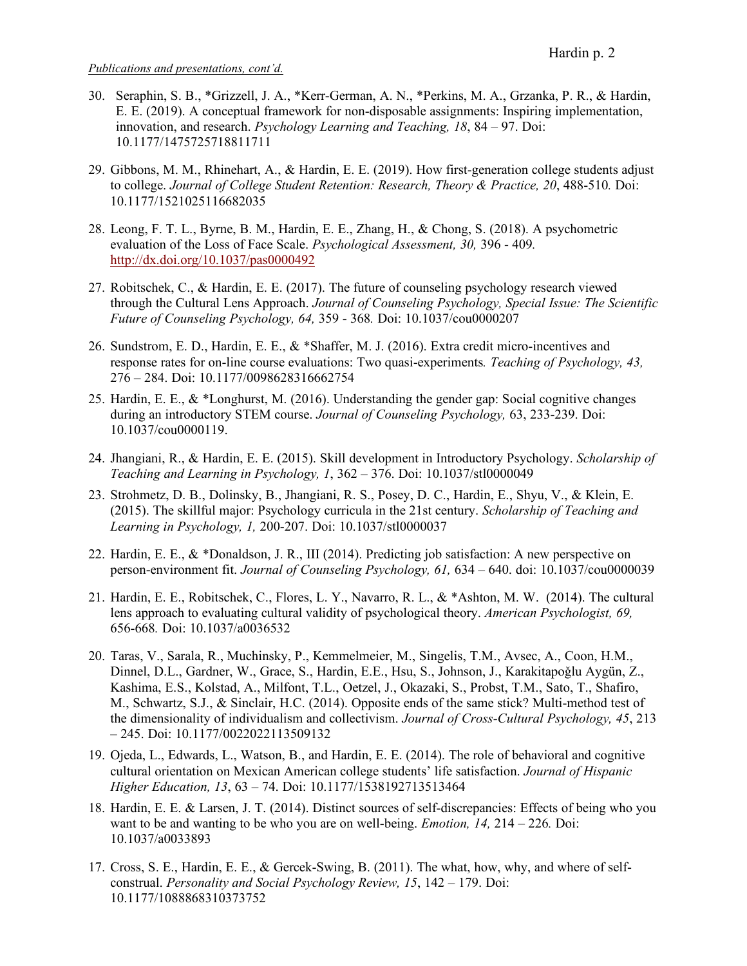- 30. Seraphin, S. B., \*Grizzell, J. A., \*Kerr-German, A. N., \*Perkins, M. A., Grzanka, P. R., & Hardin, E. E. (2019). A conceptual framework for non-disposable assignments: Inspiring implementation, innovation, and research. *Psychology Learning and Teaching, 18*, 84 – 97. Doi: 10.1177/1475725718811711
- 29. Gibbons, M. M., Rhinehart, A., & Hardin, E. E. (2019). How first-generation college students adjust to college. *Journal of College Student Retention: Research, Theory & Practice, 20*, 488-510*.* Doi: 10.1177/1521025116682035
- 28. Leong, F. T. L., Byrne, B. M., Hardin, E. E., Zhang, H., & Chong, S. (2018). A psychometric evaluation of the Loss of Face Scale. *Psychological Assessment, 30,* 396 - 409*.* http://dx.doi.org/10.1037/pas0000492
- 27. Robitschek, C., & Hardin, E. E. (2017). The future of counseling psychology research viewed through the Cultural Lens Approach. *Journal of Counseling Psychology, Special Issue: The Scientific Future of Counseling Psychology, 64,* 359 - 368*.* Doi: 10.1037/cou0000207
- 26. Sundstrom, E. D., Hardin, E. E., & \*Shaffer, M. J. (2016). Extra credit micro-incentives and response rates for on-line course evaluations: Two quasi-experiments*. Teaching of Psychology, 43,*  276 – 284. Doi: 10.1177/0098628316662754
- 25. Hardin, E. E., & \*Longhurst, M. (2016). Understanding the gender gap: Social cognitive changes during an introductory STEM course. *Journal of Counseling Psychology,* 63, 233-239. Doi: 10.1037/cou0000119.
- 24. Jhangiani, R., & Hardin, E. E. (2015). Skill development in Introductory Psychology. *Scholarship of Teaching and Learning in Psychology, 1*, 362 – 376. Doi: 10.1037/stl0000049
- 23. Strohmetz, D. B., Dolinsky, B., Jhangiani, R. S., Posey, D. C., Hardin, E., Shyu, V., & Klein, E. (2015). The skillful major: Psychology curricula in the 21st century. *Scholarship of Teaching and Learning in Psychology, 1,* 200-207. Doi: 10.1037/stl0000037
- 22. Hardin, E. E., & \*Donaldson, J. R., III (2014). Predicting job satisfaction: A new perspective on person-environment fit. *Journal of Counseling Psychology, 61,* 634 – 640. doi: 10.1037/cou0000039
- 21. Hardin, E. E., Robitschek, C., Flores, L. Y., Navarro, R. L., & \*Ashton, M. W. (2014). The cultural lens approach to evaluating cultural validity of psychological theory. *American Psychologist, 69,* 656-668*.* Doi: 10.1037/a0036532
- 20. Taras, V., Sarala, R., Muchinsky, P., Kemmelmeier, M., Singelis, T.M., Avsec, A., Coon, H.M., Dinnel, D.L., Gardner, W., Grace, S., Hardin, E.E., Hsu, S., Johnson, J., Karakitapoğlu Aygün, Z., Kashima, E.S., Kolstad, A., Milfont, T.L., Oetzel, J., Okazaki, S., Probst, T.M., Sato, T., Shafiro, M., Schwartz, S.J., & Sinclair, H.C. (2014). Opposite ends of the same stick? Multi-method test of the dimensionality of individualism and collectivism. *Journal of Cross-Cultural Psychology, 45*, 213 – 245. Doi: 10.1177/0022022113509132
- 19. Ojeda, L., Edwards, L., Watson, B., and Hardin, E. E. (2014). The role of behavioral and cognitive cultural orientation on Mexican American college students' life satisfaction. *Journal of Hispanic Higher Education, 13*, 63 – 74. Doi: 10.1177/1538192713513464
- 18. Hardin, E. E. & Larsen, J. T. (2014). Distinct sources of self-discrepancies: Effects of being who you want to be and wanting to be who you are on well-being. *Emotion, 14,* 214 – 226*.* Doi: 10.1037/a0033893
- 17. Cross, S. E., Hardin, E. E., & Gercek-Swing, B. (2011). The what, how, why, and where of selfconstrual. *Personality and Social Psychology Review, 15*, 142 – 179. Doi: 10.1177/1088868310373752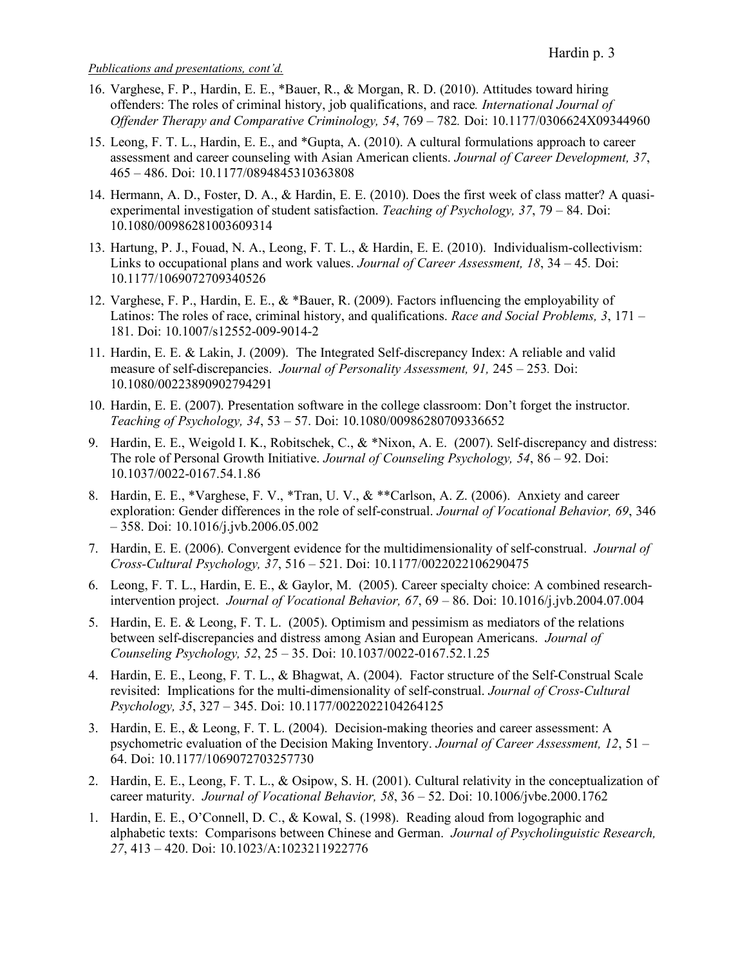- 16. Varghese, F. P., Hardin, E. E., \*Bauer, R., & Morgan, R. D. (2010). Attitudes toward hiring offenders: The roles of criminal history, job qualifications, and race*. International Journal of Offender Therapy and Comparative Criminology, 54*, 769 – 782*.* Doi: 10.1177/0306624X09344960
- 15. Leong, F. T. L., Hardin, E. E., and \*Gupta, A. (2010). A cultural formulations approach to career assessment and career counseling with Asian American clients. *Journal of Career Development, 37*, 465 – 486. Doi: 10.1177/0894845310363808
- 14. Hermann, A. D., Foster, D. A., & Hardin, E. E. (2010). Does the first week of class matter? A quasiexperimental investigation of student satisfaction. *Teaching of Psychology, 37*, 79 – 84. Doi: 10.1080/00986281003609314
- 13. Hartung, P. J., Fouad, N. A., Leong, F. T. L., & Hardin, E. E. (2010). Individualism-collectivism: Links to occupational plans and work values. *Journal of Career Assessment, 18*, 34 – 45*.* Doi: 10.1177/1069072709340526
- 12. Varghese, F. P., Hardin, E. E., & \*Bauer, R. (2009). Factors influencing the employability of Latinos: The roles of race, criminal history, and qualifications. *Race and Social Problems, 3*, 171 – 181. Doi: 10.1007/s12552-009-9014-2
- 11. Hardin, E. E. & Lakin, J. (2009). The Integrated Self-discrepancy Index: A reliable and valid measure of self-discrepancies. *Journal of Personality Assessment, 91,* 245 – 253*.* Doi: 10.1080/00223890902794291
- 10. Hardin, E. E. (2007). Presentation software in the college classroom: Don't forget the instructor. *Teaching of Psychology, 34*, 53 – 57. Doi: 10.1080/00986280709336652
- 9. Hardin, E. E., Weigold I. K., Robitschek, C., & \*Nixon, A. E. (2007). Self-discrepancy and distress: The role of Personal Growth Initiative. *Journal of Counseling Psychology, 54*, 86 – 92. Doi: 10.1037/0022-0167.54.1.86
- 8. Hardin, E. E., \*Varghese, F. V., \*Tran, U. V., & \*\*Carlson, A. Z. (2006). Anxiety and career exploration: Gender differences in the role of self-construal. *Journal of Vocational Behavior, 69*, 346 – 358. Doi: 10.1016/j.jvb.2006.05.002
- 7. Hardin, E. E. (2006). Convergent evidence for the multidimensionality of self-construal. *Journal of Cross-Cultural Psychology, 37*, 516 – 521. Doi: 10.1177/0022022106290475
- 6. Leong, F. T. L., Hardin, E. E., & Gaylor, M. (2005). Career specialty choice: A combined researchintervention project. *Journal of Vocational Behavior, 67*, 69 – 86. Doi: 10.1016/j.jvb.2004.07.004
- 5. Hardin, E. E. & Leong, F. T. L. (2005). Optimism and pessimism as mediators of the relations between self-discrepancies and distress among Asian and European Americans. *Journal of Counseling Psychology, 52*, 25 – 35. Doi: 10.1037/0022-0167.52.1.25
- 4. Hardin, E. E., Leong, F. T. L., & Bhagwat, A. (2004). Factor structure of the Self-Construal Scale revisited: Implications for the multi-dimensionality of self-construal. *Journal of Cross-Cultural Psychology, 35*, 327 – 345. Doi: 10.1177/0022022104264125
- 3. Hardin, E. E., & Leong, F. T. L. (2004). Decision-making theories and career assessment: A psychometric evaluation of the Decision Making Inventory. *Journal of Career Assessment, 12*, 51 – 64. Doi: 10.1177/1069072703257730
- 2. Hardin, E. E., Leong, F. T. L., & Osipow, S. H. (2001). Cultural relativity in the conceptualization of career maturity. *Journal of Vocational Behavior, 58*, 36 – 52. Doi: 10.1006/jvbe.2000.1762
- 1. Hardin, E. E., O'Connell, D. C., & Kowal, S. (1998). Reading aloud from logographic and alphabetic texts: Comparisons between Chinese and German. *Journal of Psycholinguistic Research, 27*, 413 – 420. Doi: 10.1023/A:1023211922776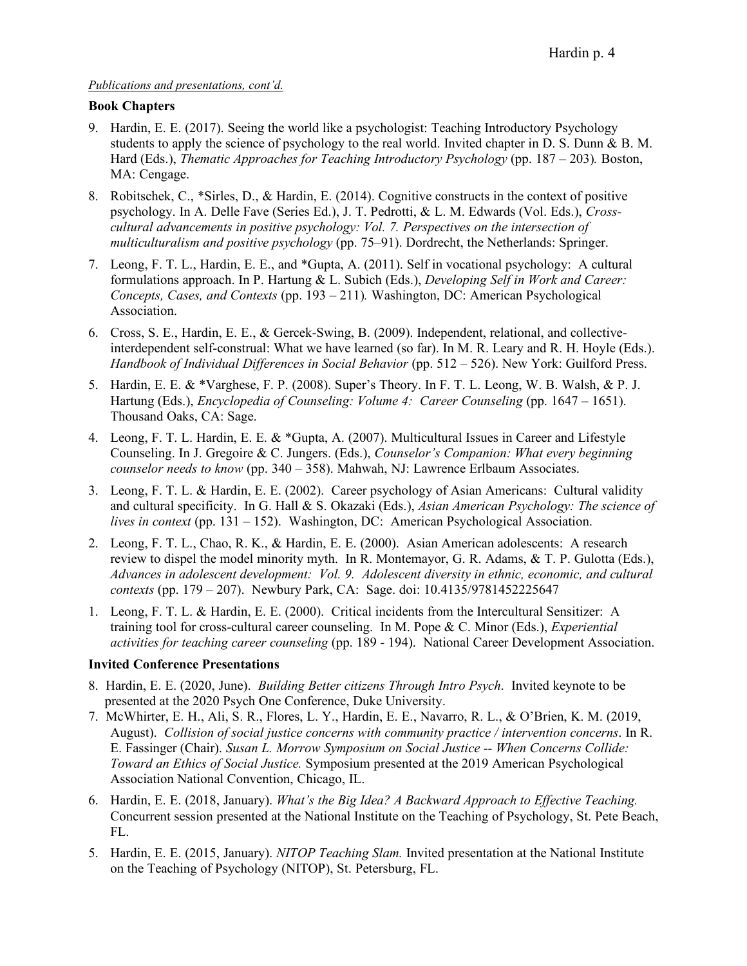## **Book Chapters**

- 9. Hardin, E. E. (2017). Seeing the world like a psychologist: Teaching Introductory Psychology students to apply the science of psychology to the real world. Invited chapter in D. S. Dunn & B. M. Hard (Eds.), *Thematic Approaches for Teaching Introductory Psychology* (pp. 187 – 203)*.* Boston, MA: Cengage.
- 8. Robitschek, C., \*Sirles, D., & Hardin, E. (2014). Cognitive constructs in the context of positive psychology. In A. Delle Fave (Series Ed.), J. T. Pedrotti, & L. M. Edwards (Vol. Eds.), *Crosscultural advancements in positive psychology: Vol. 7. Perspectives on the intersection of multiculturalism and positive psychology* (pp. 75–91). Dordrecht, the Netherlands: Springer.
- 7. Leong, F. T. L., Hardin, E. E., and \*Gupta, A. (2011). Self in vocational psychology: A cultural formulations approach. In P. Hartung & L. Subich (Eds.), *Developing Self in Work and Career: Concepts, Cases, and Contexts* (pp. 193 – 211)*.* Washington, DC: American Psychological Association.
- 6. Cross, S. E., Hardin, E. E., & Gercek-Swing, B. (2009). Independent, relational, and collectiveinterdependent self-construal: What we have learned (so far). In M. R. Leary and R. H. Hoyle (Eds.). *Handbook of Individual Differences in Social Behavior* (pp. 512 – 526). New York: Guilford Press.
- 5. Hardin, E. E. & \*Varghese, F. P. (2008). Super's Theory. In F. T. L. Leong, W. B. Walsh, & P. J. Hartung (Eds.), *Encyclopedia of Counseling: Volume 4: Career Counseling* (pp. 1647 – 1651). Thousand Oaks, CA: Sage.
- 4. Leong, F. T. L. Hardin, E. E. & \*Gupta, A. (2007). Multicultural Issues in Career and Lifestyle Counseling. In J. Gregoire & C. Jungers. (Eds.), *Counselor's Companion: What every beginning counselor needs to know* (pp. 340 – 358). Mahwah, NJ: Lawrence Erlbaum Associates.
- 3. Leong, F. T. L. & Hardin, E. E. (2002). Career psychology of Asian Americans: Cultural validity and cultural specificity. In G. Hall & S. Okazaki (Eds.), *Asian American Psychology: The science of lives in context* (pp. 131 – 152). Washington, DC: American Psychological Association.
- 2. Leong, F. T. L., Chao, R. K., & Hardin, E. E. (2000). Asian American adolescents: A research review to dispel the model minority myth. In R. Montemayor, G. R. Adams, & T. P. Gulotta (Eds.), *Advances in adolescent development: Vol. 9. Adolescent diversity in ethnic, economic, and cultural contexts* (pp. 179 – 207). Newbury Park, CA: Sage. doi: 10.4135/9781452225647
- 1. Leong, F. T. L. & Hardin, E. E. (2000). Critical incidents from the Intercultural Sensitizer: A training tool for cross-cultural career counseling. In M. Pope & C. Minor (Eds.), *Experiential activities for teaching career counseling* (pp. 189 - 194). National Career Development Association.

#### **Invited Conference Presentations**

- 8. Hardin, E. E. (2020, June). *Building Better citizens Through Intro Psych*. Invited keynote to be presented at the 2020 Psych One Conference, Duke University.
- 7. McWhirter, E. H., Ali, S. R., Flores, L. Y., Hardin, E. E., Navarro, R. L., & O'Brien, K. M. (2019, August). *Collision of social justice concerns with community practice / intervention concerns*. In R. E. Fassinger (Chair). *Susan L. Morrow Symposium on Social Justice -- When Concerns Collide: Toward an Ethics of Social Justice.* Symposium presented at the 2019 American Psychological Association National Convention, Chicago, IL.
- 6. Hardin, E. E. (2018, January). *What's the Big Idea? A Backward Approach to Effective Teaching.* Concurrent session presented at the National Institute on the Teaching of Psychology, St. Pete Beach, FL.
- 5. Hardin, E. E. (2015, January). *NITOP Teaching Slam.* Invited presentation at the National Institute on the Teaching of Psychology (NITOP), St. Petersburg, FL.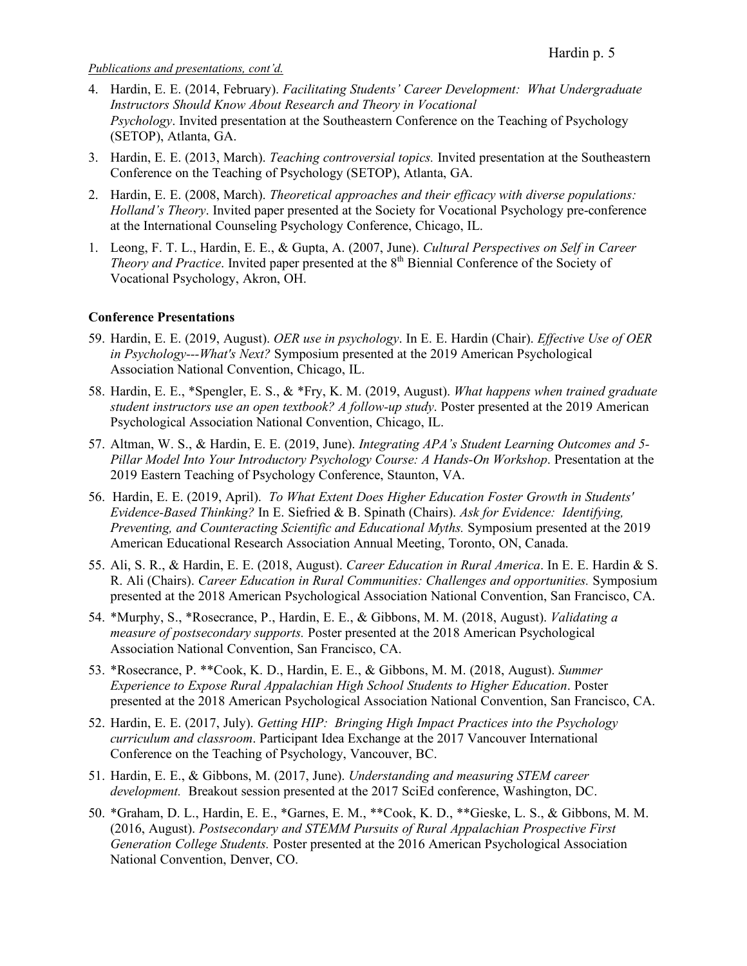- 4. Hardin, E. E. (2014, February). *Facilitating Students' Career Development: What Undergraduate Instructors Should Know About Research and Theory in Vocational Psychology*. Invited presentation at the Southeastern Conference on the Teaching of Psychology (SETOP), Atlanta, GA.
- 3. Hardin, E. E. (2013, March). *Teaching controversial topics.* Invited presentation at the Southeastern Conference on the Teaching of Psychology (SETOP), Atlanta, GA.
- 2. Hardin, E. E. (2008, March). *Theoretical approaches and their efficacy with diverse populations: Holland's Theory*. Invited paper presented at the Society for Vocational Psychology pre-conference at the International Counseling Psychology Conference, Chicago, IL.
- 1. Leong, F. T. L., Hardin, E. E., & Gupta, A. (2007, June). *Cultural Perspectives on Self in Career Theory and Practice*. Invited paper presented at the 8<sup>th</sup> Biennial Conference of the Society of Vocational Psychology, Akron, OH.

#### **Conference Presentations**

- 59. Hardin, E. E. (2019, August). *OER use in psychology*. In E. E. Hardin (Chair). *Effective Use of OER in Psychology---What's Next?* Symposium presented at the 2019 American Psychological Association National Convention, Chicago, IL.
- 58. Hardin, E. E., \*Spengler, E. S., & \*Fry, K. M. (2019, August). *What happens when trained graduate student instructors use an open textbook? A follow-up study*. Poster presented at the 2019 American Psychological Association National Convention, Chicago, IL.
- 57. Altman, W. S., & Hardin, E. E. (2019, June). *Integrating APA's Student Learning Outcomes and 5- Pillar Model Into Your Introductory Psychology Course: A Hands-On Workshop*. Presentation at the 2019 Eastern Teaching of Psychology Conference, Staunton, VA.
- 56. Hardin, E. E. (2019, April). *To What Extent Does Higher Education Foster Growth in Students' Evidence-Based Thinking?* In E. Siefried & B. Spinath (Chairs). *Ask for Evidence: Identifying, Preventing, and Counteracting Scientific and Educational Myths.* Symposium presented at the 2019 American Educational Research Association Annual Meeting, Toronto, ON, Canada.
- 55. Ali, S. R., & Hardin, E. E. (2018, August). *Career Education in Rural America*. In E. E. Hardin & S. R. Ali (Chairs). *Career Education in Rural Communities: Challenges and opportunities.* Symposium presented at the 2018 American Psychological Association National Convention, San Francisco, CA.
- 54. \*Murphy, S., \*Rosecrance, P., Hardin, E. E., & Gibbons, M. M. (2018, August). *Validating a measure of postsecondary supports.* Poster presented at the 2018 American Psychological Association National Convention, San Francisco, CA.
- 53. \*Rosecrance, P. \*\*Cook, K. D., Hardin, E. E., & Gibbons, M. M. (2018, August). *Summer Experience to Expose Rural Appalachian High School Students to Higher Education*. Poster presented at the 2018 American Psychological Association National Convention, San Francisco, CA.
- 52. Hardin, E. E. (2017, July). *Getting HIP: Bringing High Impact Practices into the Psychology curriculum and classroom*. Participant Idea Exchange at the 2017 Vancouver International Conference on the Teaching of Psychology, Vancouver, BC.
- 51. Hardin, E. E., & Gibbons, M. (2017, June). *Understanding and measuring STEM career development.*Breakout session presented at the 2017 SciEd conference, Washington, DC.
- 50. \*Graham, D. L., Hardin, E. E., \*Garnes, E. M., \*\*Cook, K. D., \*\*Gieske, L. S., & Gibbons, M. M. (2016, August). *Postsecondary and STEMM Pursuits of Rural Appalachian Prospective First Generation College Students.* Poster presented at the 2016 American Psychological Association National Convention, Denver, CO.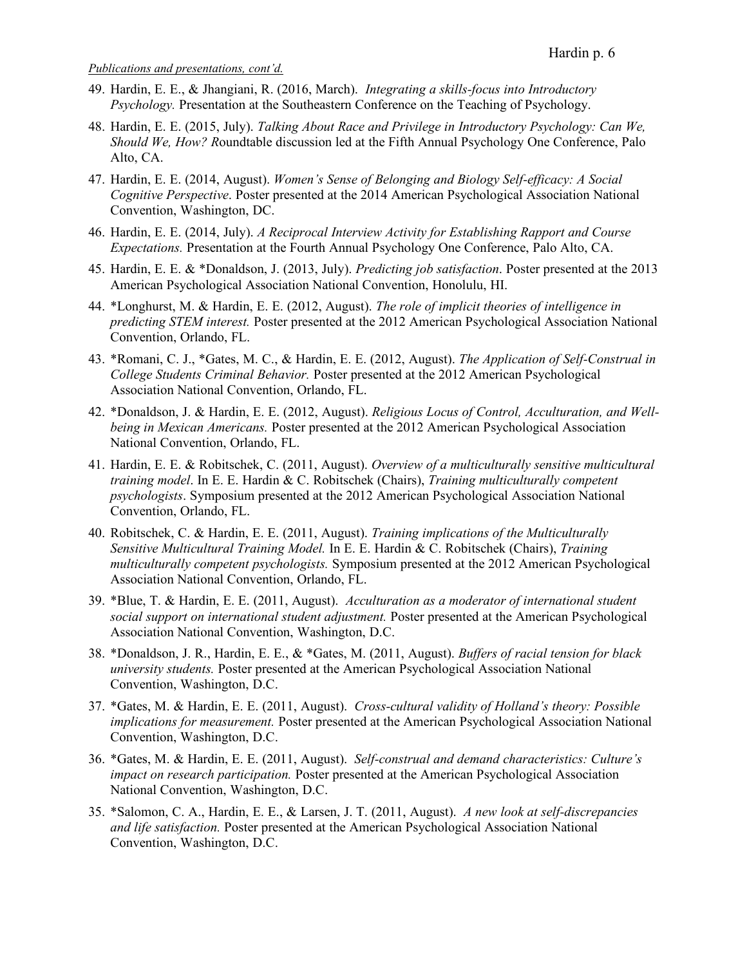- 49. Hardin, E. E., & Jhangiani, R. (2016, March). *Integrating a skills-focus into Introductory Psychology.* Presentation at the Southeastern Conference on the Teaching of Psychology.
- 48. Hardin, E. E. (2015, July). *Talking About Race and Privilege in Introductory Psychology: Can We, Should We, How? R*oundtable discussion led at the Fifth Annual Psychology One Conference, Palo Alto, CA.
- 47. Hardin, E. E. (2014, August). *Women's Sense of Belonging and Biology Self-efficacy: A Social Cognitive Perspective*. Poster presented at the 2014 American Psychological Association National Convention, Washington, DC.
- 46. Hardin, E. E. (2014, July). *A Reciprocal Interview Activity for Establishing Rapport and Course Expectations.* Presentation at the Fourth Annual Psychology One Conference, Palo Alto, CA.
- 45. Hardin, E. E. & \*Donaldson, J. (2013, July). *Predicting job satisfaction*. Poster presented at the 2013 American Psychological Association National Convention, Honolulu, HI.
- 44. \*Longhurst, M. & Hardin, E. E. (2012, August). *The role of implicit theories of intelligence in predicting STEM interest.* Poster presented at the 2012 American Psychological Association National Convention, Orlando, FL.
- 43. \*Romani, C. J., \*Gates, M. C., & Hardin, E. E. (2012, August). *The Application of Self-Construal in College Students Criminal Behavior.* Poster presented at the 2012 American Psychological Association National Convention, Orlando, FL.
- 42. \*Donaldson, J. & Hardin, E. E. (2012, August). *Religious Locus of Control, Acculturation, and Wellbeing in Mexican Americans.* Poster presented at the 2012 American Psychological Association National Convention, Orlando, FL.
- 41. Hardin, E. E. & Robitschek, C. (2011, August). *Overview of a multiculturally sensitive multicultural training model*. In E. E. Hardin & C. Robitschek (Chairs), *Training multiculturally competent psychologists*. Symposium presented at the 2012 American Psychological Association National Convention, Orlando, FL.
- 40. Robitschek, C. & Hardin, E. E. (2011, August). *Training implications of the Multiculturally Sensitive Multicultural Training Model.* In E. E. Hardin & C. Robitschek (Chairs), *Training multiculturally competent psychologists.* Symposium presented at the 2012 American Psychological Association National Convention, Orlando, FL.
- 39. \*Blue, T. & Hardin, E. E. (2011, August). *Acculturation as a moderator of international student social support on international student adjustment.* Poster presented at the American Psychological Association National Convention, Washington, D.C.
- 38. \*Donaldson, J. R., Hardin, E. E., & \*Gates, M. (2011, August). *Buffers of racial tension for black university students.* Poster presented at the American Psychological Association National Convention, Washington, D.C.
- 37. \*Gates, M. & Hardin, E. E. (2011, August). *Cross-cultural validity of Holland's theory: Possible implications for measurement.* Poster presented at the American Psychological Association National Convention, Washington, D.C.
- 36. \*Gates, M. & Hardin, E. E. (2011, August). *Self-construal and demand characteristics: Culture's impact on research participation.* Poster presented at the American Psychological Association National Convention, Washington, D.C.
- 35. \*Salomon, C. A., Hardin, E. E., & Larsen, J. T. (2011, August). *A new look at self-discrepancies and life satisfaction.* Poster presented at the American Psychological Association National Convention, Washington, D.C.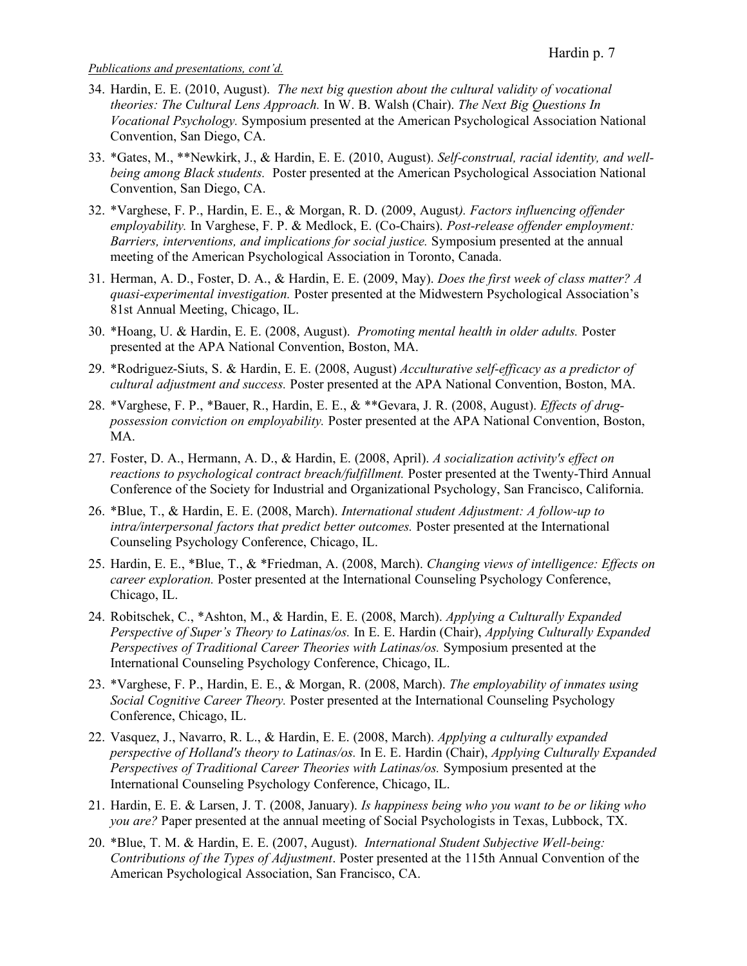- 34. Hardin, E. E. (2010, August). *The next big question about the cultural validity of vocational theories: The Cultural Lens Approach.* In W. B. Walsh (Chair). *The Next Big Questions In Vocational Psychology.* Symposium presented at the American Psychological Association National Convention, San Diego, CA.
- 33. \*Gates, M., \*\*Newkirk, J., & Hardin, E. E. (2010, August). *Self-construal, racial identity, and wellbeing among Black students.* Poster presented at the American Psychological Association National Convention, San Diego, CA.
- 32. \*Varghese, F. P., Hardin, E. E., & Morgan, R. D. (2009, August*). Factors influencing offender employability.* In Varghese, F. P. & Medlock, E. (Co-Chairs). *Post-release offender employment: Barriers, interventions, and implications for social justice.* Symposium presented at the annual meeting of the American Psychological Association in Toronto, Canada.
- 31. Herman, A. D., Foster, D. A., & Hardin, E. E. (2009, May). *Does the first week of class matter? A quasi-experimental investigation.* Poster presented at the Midwestern Psychological Association's 81st Annual Meeting, Chicago, IL.
- 30. \*Hoang, U. & Hardin, E. E. (2008, August). *Promoting mental health in older adults.* Poster presented at the APA National Convention, Boston, MA.
- 29. \*Rodriguez-Siuts, S. & Hardin, E. E. (2008, August) *Acculturative self-efficacy as a predictor of cultural adjustment and success.* Poster presented at the APA National Convention, Boston, MA.
- 28. \*Varghese, F. P., \*Bauer, R., Hardin, E. E., & \*\*Gevara, J. R. (2008, August). *Effects of drugpossession conviction on employability.* Poster presented at the APA National Convention, Boston, MA.
- 27. Foster, D. A., Hermann, A. D., & Hardin, E. (2008, April). *A socialization activity's effect on reactions to psychological contract breach/fulfillment.* Poster presented at the Twenty-Third Annual Conference of the Society for Industrial and Organizational Psychology, San Francisco, California.
- 26. \*Blue, T., & Hardin, E. E. (2008, March). *International student Adjustment: A follow-up to intra/interpersonal factors that predict better outcomes.* Poster presented at the International Counseling Psychology Conference, Chicago, IL.
- 25. Hardin, E. E., \*Blue, T., & \*Friedman, A. (2008, March). *Changing views of intelligence: Effects on career exploration.* Poster presented at the International Counseling Psychology Conference, Chicago, IL.
- 24. Robitschek, C., \*Ashton, M., & Hardin, E. E. (2008, March). *Applying a Culturally Expanded Perspective of Super's Theory to Latinas/os.* In E. E. Hardin (Chair), *Applying Culturally Expanded Perspectives of Traditional Career Theories with Latinas/os.* Symposium presented at the International Counseling Psychology Conference, Chicago, IL.
- 23. \*Varghese, F. P., Hardin, E. E., & Morgan, R. (2008, March). *The employability of inmates using Social Cognitive Career Theory.* Poster presented at the International Counseling Psychology Conference, Chicago, IL.
- 22. Vasquez, J., Navarro, R. L., & Hardin, E. E. (2008, March). *Applying a culturally expanded perspective of Holland's theory to Latinas/os.* In E. E. Hardin (Chair), *Applying Culturally Expanded Perspectives of Traditional Career Theories with Latinas/os.* Symposium presented at the International Counseling Psychology Conference, Chicago, IL.
- 21. Hardin, E. E. & Larsen, J. T. (2008, January). *Is happiness being who you want to be or liking who you are?* Paper presented at the annual meeting of Social Psychologists in Texas, Lubbock, TX.
- 20. \*Blue, T. M. & Hardin, E. E. (2007, August). *International Student Subjective Well-being: Contributions of the Types of Adjustment*. Poster presented at the 115th Annual Convention of the American Psychological Association, San Francisco, CA.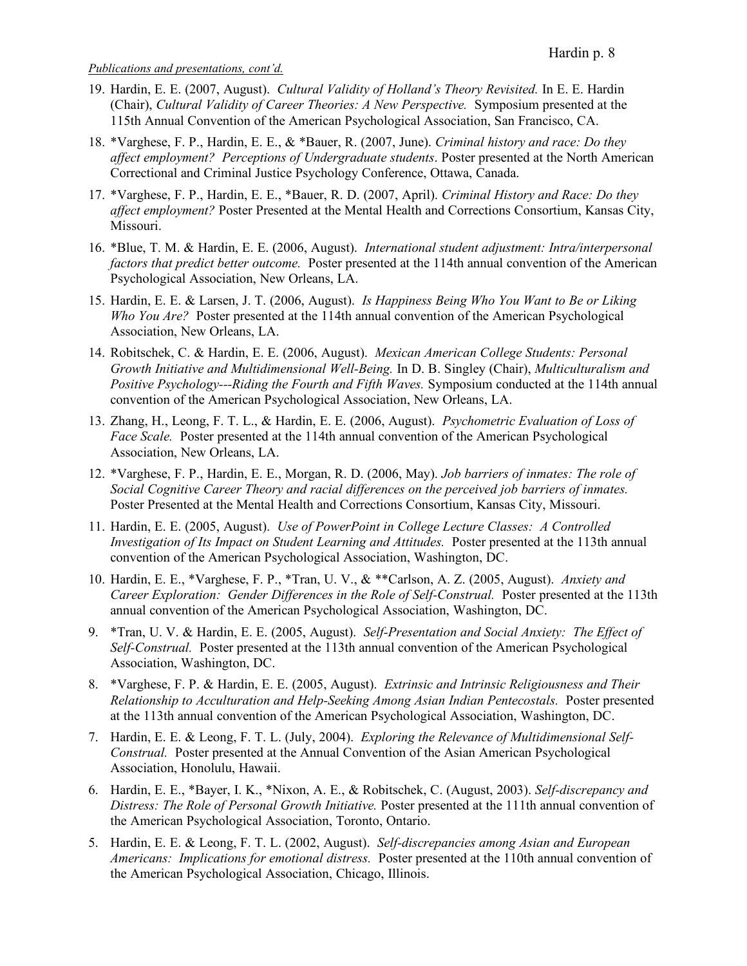- 19. Hardin, E. E. (2007, August). *Cultural Validity of Holland's Theory Revisited.* In E. E. Hardin (Chair), *Cultural Validity of Career Theories: A New Perspective.* Symposium presented at the 115th Annual Convention of the American Psychological Association, San Francisco, CA.
- 18. \*Varghese, F. P., Hardin, E. E., & \*Bauer, R. (2007, June). *Criminal history and race: Do they affect employment? Perceptions of Undergraduate students*. Poster presented at the North American Correctional and Criminal Justice Psychology Conference, Ottawa, Canada.
- 17. \*Varghese, F. P., Hardin, E. E., \*Bauer, R. D. (2007, April). *Criminal History and Race: Do they affect employment?* Poster Presented at the Mental Health and Corrections Consortium, Kansas City, Missouri.
- 16. \*Blue, T. M. & Hardin, E. E. (2006, August). *International student adjustment: Intra/interpersonal factors that predict better outcome.* Poster presented at the 114th annual convention of the American Psychological Association, New Orleans, LA.
- 15. Hardin, E. E. & Larsen, J. T. (2006, August). *Is Happiness Being Who You Want to Be or Liking Who You Are?* Poster presented at the 114th annual convention of the American Psychological Association, New Orleans, LA.
- 14. Robitschek, C. & Hardin, E. E. (2006, August). *Mexican American College Students: Personal Growth Initiative and Multidimensional Well-Being.* In D. B. Singley (Chair), *Multiculturalism and Positive Psychology---Riding the Fourth and Fifth Waves.* Symposium conducted at the 114th annual convention of the American Psychological Association, New Orleans, LA.
- 13. Zhang, H., Leong, F. T. L., & Hardin, E. E. (2006, August). *Psychometric Evaluation of Loss of Face Scale.* Poster presented at the 114th annual convention of the American Psychological Association, New Orleans, LA.
- 12. \*Varghese, F. P., Hardin, E. E., Morgan, R. D. (2006, May). *Job barriers of inmates: The role of Social Cognitive Career Theory and racial differences on the perceived job barriers of inmates.* Poster Presented at the Mental Health and Corrections Consortium, Kansas City, Missouri.
- 11. Hardin, E. E. (2005, August). *Use of PowerPoint in College Lecture Classes: A Controlled Investigation of Its Impact on Student Learning and Attitudes.* Poster presented at the 113th annual convention of the American Psychological Association, Washington, DC.
- 10. Hardin, E. E., \*Varghese, F. P., \*Tran, U. V., & \*\*Carlson, A. Z. (2005, August). *Anxiety and Career Exploration: Gender Differences in the Role of Self-Construal.* Poster presented at the 113th annual convention of the American Psychological Association, Washington, DC.
- 9. \*Tran, U. V. & Hardin, E. E. (2005, August). *Self-Presentation and Social Anxiety: The Effect of Self-Construal.* Poster presented at the 113th annual convention of the American Psychological Association, Washington, DC.
- 8. \*Varghese, F. P. & Hardin, E. E. (2005, August). *Extrinsic and Intrinsic Religiousness and Their Relationship to Acculturation and Help-Seeking Among Asian Indian Pentecostals.* Poster presented at the 113th annual convention of the American Psychological Association, Washington, DC.
- 7. Hardin, E. E. & Leong, F. T. L. (July, 2004). *Exploring the Relevance of Multidimensional Self-Construal.* Poster presented at the Annual Convention of the Asian American Psychological Association, Honolulu, Hawaii.
- 6. Hardin, E. E., \*Bayer, I. K., \*Nixon, A. E., & Robitschek, C. (August, 2003). *Self-discrepancy and Distress: The Role of Personal Growth Initiative.* Poster presented at the 111th annual convention of the American Psychological Association, Toronto, Ontario.
- 5. Hardin, E. E. & Leong, F. T. L. (2002, August). *Self-discrepancies among Asian and European Americans: Implications for emotional distress.* Poster presented at the 110th annual convention of the American Psychological Association, Chicago, Illinois.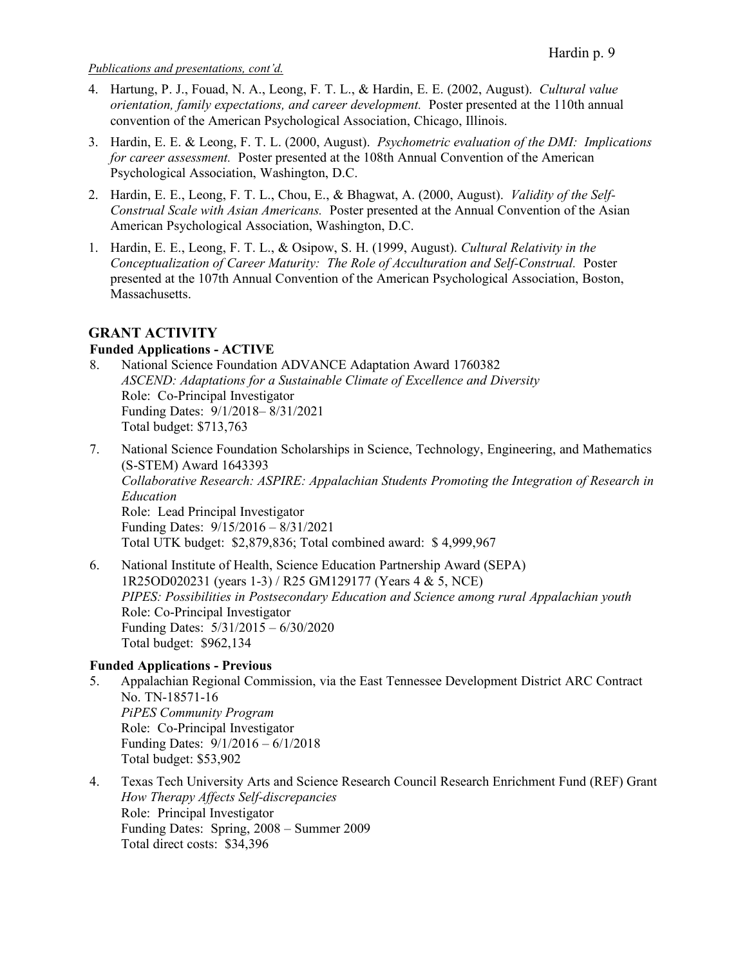- 4. Hartung, P. J., Fouad, N. A., Leong, F. T. L., & Hardin, E. E. (2002, August). *Cultural value orientation, family expectations, and career development.* Poster presented at the 110th annual convention of the American Psychological Association, Chicago, Illinois.
- 3. Hardin, E. E. & Leong, F. T. L. (2000, August). *Psychometric evaluation of the DMI: Implications for career assessment.* Poster presented at the 108th Annual Convention of the American Psychological Association, Washington, D.C.
- 2. Hardin, E. E., Leong, F. T. L., Chou, E., & Bhagwat, A. (2000, August). *Validity of the Self-Construal Scale with Asian Americans.* Poster presented at the Annual Convention of the Asian American Psychological Association, Washington, D.C.
- 1. Hardin, E. E., Leong, F. T. L., & Osipow, S. H. (1999, August). *Cultural Relativity in the Conceptualization of Career Maturity: The Role of Acculturation and Self-Construal.* Poster presented at the 107th Annual Convention of the American Psychological Association, Boston, Massachusetts.

# **GRANT ACTIVITY**

# **Funded Applications - ACTIVE**

- 8. National Science Foundation ADVANCE Adaptation Award 1760382 *ASCEND: Adaptations for a Sustainable Climate of Excellence and Diversity* Role: Co-Principal Investigator Funding Dates: 9/1/2018– 8/31/2021 Total budget: \$713,763
- 7. National Science Foundation Scholarships in Science, Technology, Engineering, and Mathematics (S-STEM) Award 1643393 *Collaborative Research: ASPIRE: Appalachian Students Promoting the Integration of Research in Education* Role: Lead Principal Investigator Funding Dates: 9/15/2016 – 8/31/2021 Total UTK budget: \$2,879,836; Total combined award: \$ 4,999,967
- 6. National Institute of Health, Science Education Partnership Award (SEPA) 1R25OD020231 (years 1-3) / R25 GM129177 (Years 4 & 5, NCE) *PIPES: Possibilities in Postsecondary Education and Science among rural Appalachian youth* Role: Co-Principal Investigator Funding Dates: 5/31/2015 – 6/30/2020 Total budget: \$962,134

# **Funded Applications - Previous**

- 5. Appalachian Regional Commission, via the East Tennessee Development District ARC Contract No. TN-18571-16 *PiPES Community Program* Role: Co-Principal Investigator Funding Dates: 9/1/2016 – 6/1/2018 Total budget: \$53,902
- 4. Texas Tech University Arts and Science Research Council Research Enrichment Fund (REF) Grant *How Therapy Affects Self-discrepancies*  Role: Principal Investigator Funding Dates: Spring, 2008 – Summer 2009 Total direct costs: \$34,396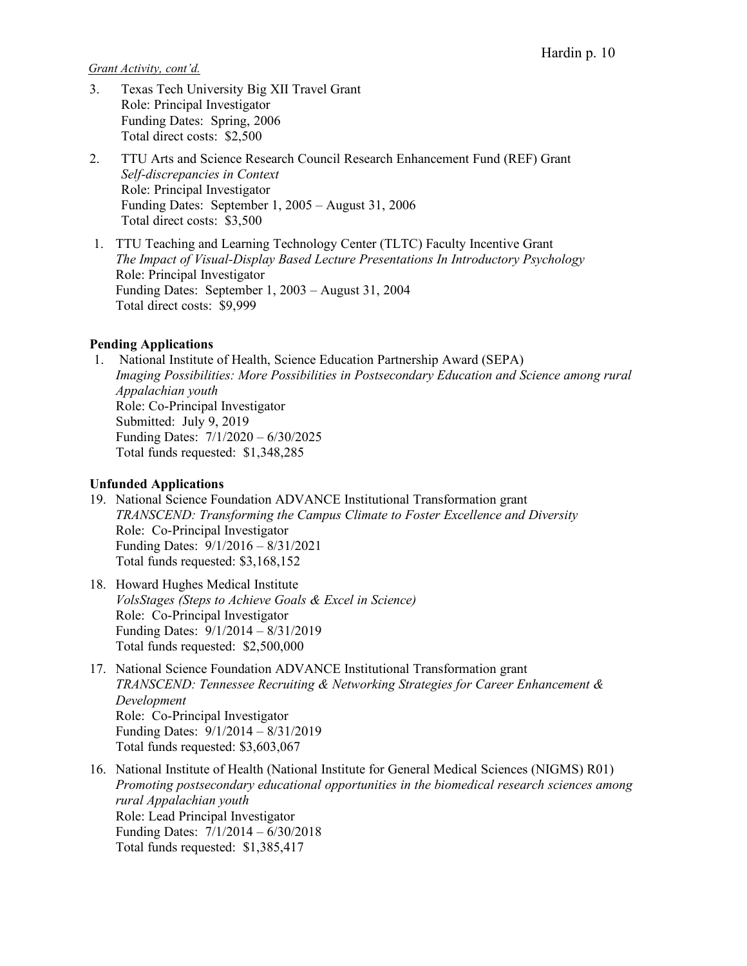*Grant Activity, cont'd.*

- 3. Texas Tech University Big XII Travel Grant Role: Principal Investigator Funding Dates: Spring, 2006 Total direct costs: \$2,500
- 2. TTU Arts and Science Research Council Research Enhancement Fund (REF) Grant *Self-discrepancies in Context*  Role: Principal Investigator Funding Dates: September 1, 2005 – August 31, 2006 Total direct costs: \$3,500
- 1. TTU Teaching and Learning Technology Center (TLTC) Faculty Incentive Grant *The Impact of Visual-Display Based Lecture Presentations In Introductory Psychology* Role: Principal Investigator Funding Dates: September 1, 2003 – August 31, 2004 Total direct costs: \$9,999

### **Pending Applications**

1. National Institute of Health, Science Education Partnership Award (SEPA) *Imaging Possibilities: More Possibilities in Postsecondary Education and Science among rural Appalachian youth* Role: Co-Principal Investigator Submitted: July 9, 2019 Funding Dates: 7/1/2020 – 6/30/2025 Total funds requested: \$1,348,285

#### **Unfunded Applications**

- 19. National Science Foundation ADVANCE Institutional Transformation grant *TRANSCEND: Transforming the Campus Climate to Foster Excellence and Diversity* Role: Co-Principal Investigator Funding Dates: 9/1/2016 – 8/31/2021 Total funds requested: \$3,168,152
- 18. Howard Hughes Medical Institute *VolsStages (Steps to Achieve Goals & Excel in Science)* Role: Co-Principal Investigator Funding Dates: 9/1/2014 – 8/31/2019 Total funds requested: \$2,500,000
- 17. National Science Foundation ADVANCE Institutional Transformation grant *TRANSCEND: Tennessee Recruiting & Networking Strategies for Career Enhancement & Development* Role: Co-Principal Investigator Funding Dates: 9/1/2014 – 8/31/2019 Total funds requested: \$3,603,067
- 16. National Institute of Health (National Institute for General Medical Sciences (NIGMS) R01) *Promoting postsecondary educational opportunities in the biomedical research sciences among rural Appalachian youth* Role: Lead Principal Investigator Funding Dates: 7/1/2014 – 6/30/2018 Total funds requested: \$1,385,417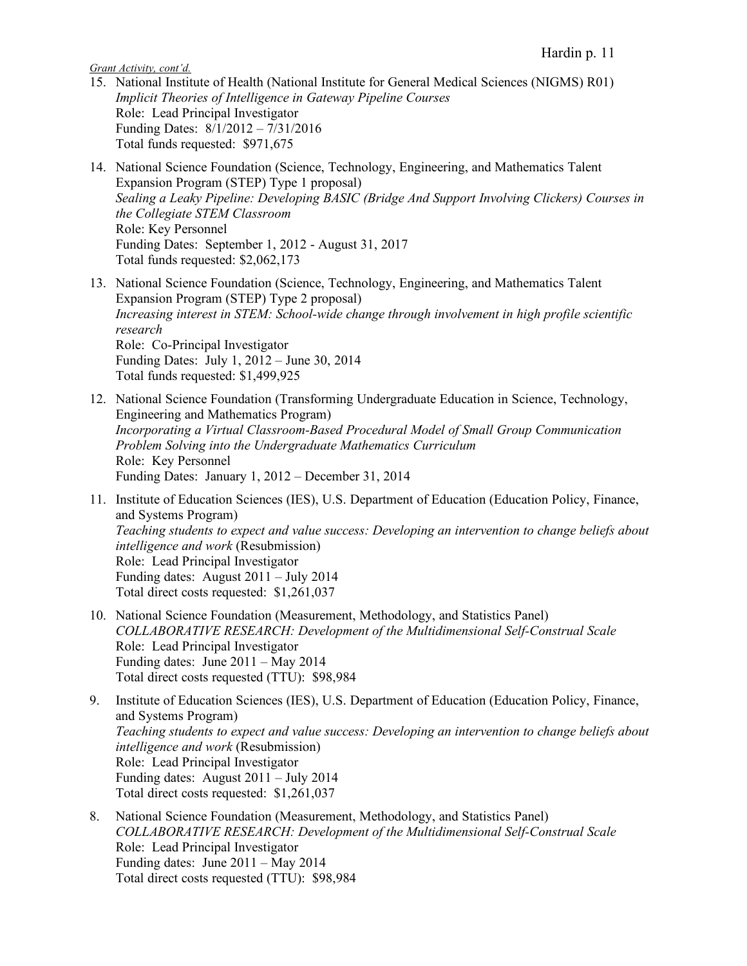*Grant Activity, cont'd.*

- 15. National Institute of Health (National Institute for General Medical Sciences (NIGMS) R01) *Implicit Theories of Intelligence in Gateway Pipeline Courses* Role: Lead Principal Investigator Funding Dates: 8/1/2012 – 7/31/2016 Total funds requested: \$971,675
- 14. National Science Foundation (Science, Technology, Engineering, and Mathematics Talent Expansion Program (STEP) Type 1 proposal) *Sealing a Leaky Pipeline: Developing BASIC (Bridge And Support Involving Clickers) Courses in the Collegiate STEM Classroom* Role: Key Personnel Funding Dates: September 1, 2012 - August 31, 2017 Total funds requested: \$2,062,173
- 13. National Science Foundation (Science, Technology, Engineering, and Mathematics Talent Expansion Program (STEP) Type 2 proposal) *Increasing interest in STEM: School-wide change through involvement in high profile scientific research* Role: Co-Principal Investigator Funding Dates: July 1, 2012 – June 30, 2014 Total funds requested: \$1,499,925
- 12. National Science Foundation (Transforming Undergraduate Education in Science, Technology, Engineering and Mathematics Program) *Incorporating a Virtual Classroom-Based Procedural Model of Small Group Communication Problem Solving into the Undergraduate Mathematics Curriculum*  Role: Key Personnel Funding Dates: January 1, 2012 – December 31, 2014
- 11. Institute of Education Sciences (IES), U.S. Department of Education (Education Policy, Finance, and Systems Program) *Teaching students to expect and value success: Developing an intervention to change beliefs about intelligence and work* (Resubmission) Role: Lead Principal Investigator Funding dates: August 2011 – July 2014 Total direct costs requested: \$1,261,037
- 10. National Science Foundation (Measurement, Methodology, and Statistics Panel) *COLLABORATIVE RESEARCH: Development of the Multidimensional Self-Construal Scale* Role: Lead Principal Investigator Funding dates: June 2011 – May 2014 Total direct costs requested (TTU): \$98,984
- 9. Institute of Education Sciences (IES), U.S. Department of Education (Education Policy, Finance, and Systems Program) *Teaching students to expect and value success: Developing an intervention to change beliefs about intelligence and work* (Resubmission) Role: Lead Principal Investigator Funding dates: August 2011 – July 2014 Total direct costs requested: \$1,261,037
- 8. National Science Foundation (Measurement, Methodology, and Statistics Panel) *COLLABORATIVE RESEARCH: Development of the Multidimensional Self-Construal Scale* Role: Lead Principal Investigator Funding dates: June 2011 – May 2014 Total direct costs requested (TTU): \$98,984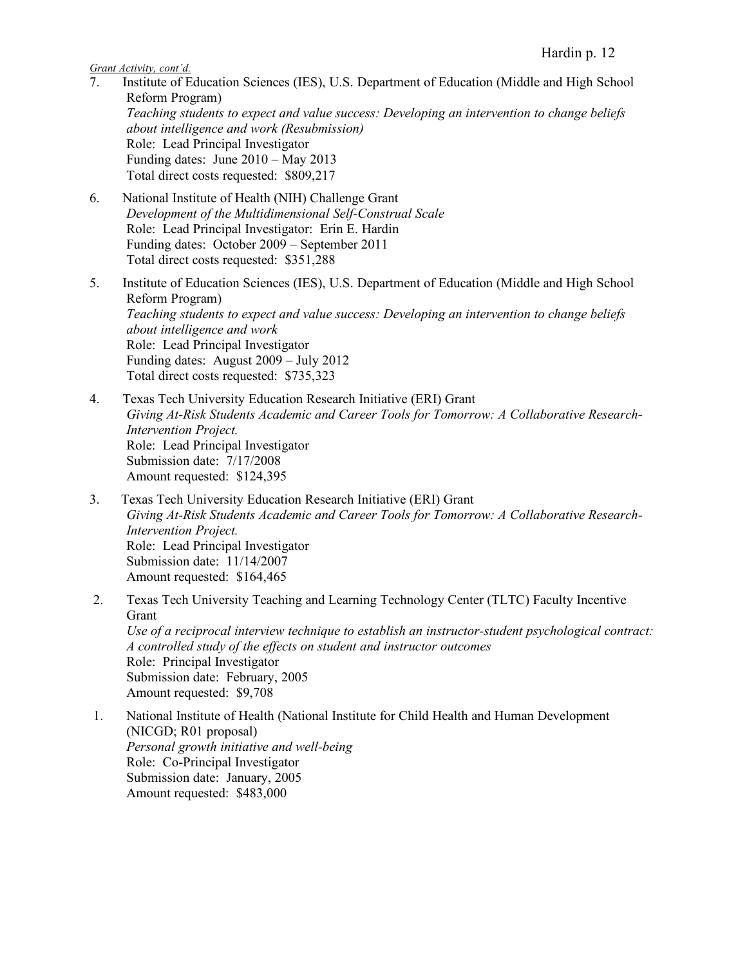*Grant Activity, cont'd.*

- 7. Institute of Education Sciences (IES), U.S. Department of Education (Middle and High School Reform Program) *Teaching students to expect and value success: Developing an intervention to change beliefs about intelligence and work (Resubmission)* Role: Lead Principal Investigator Funding dates: June 2010 – May 2013 Total direct costs requested: \$809,217
- 6. National Institute of Health (NIH) Challenge Grant *Development of the Multidimensional Self-Construal Scale* Role: Lead Principal Investigator: Erin E. Hardin Funding dates: October 2009 – September 2011 Total direct costs requested: \$351,288
- 5. Institute of Education Sciences (IES), U.S. Department of Education (Middle and High School Reform Program) *Teaching students to expect and value success: Developing an intervention to change beliefs about intelligence and work* Role: Lead Principal Investigator Funding dates: August 2009 – July 2012 Total direct costs requested: \$735,323
- 4. Texas Tech University Education Research Initiative (ERI) Grant *Giving At-Risk Students Academic and Career Tools for Tomorrow: A Collaborative Research-Intervention Project.*  Role: Lead Principal Investigator Submission date: 7/17/2008 Amount requested: \$124,395
- 3. Texas Tech University Education Research Initiative (ERI) Grant *Giving At-Risk Students Academic and Career Tools for Tomorrow: A Collaborative Research-Intervention Project.*  Role: Lead Principal Investigator Submission date: 11/14/2007 Amount requested: \$164,465
- 2. Texas Tech University Teaching and Learning Technology Center (TLTC) Faculty Incentive Grant *Use of a reciprocal interview technique to establish an instructor-student psychological contract: A controlled study of the effects on student and instructor outcomes* Role: Principal Investigator Submission date: February, 2005 Amount requested: \$9,708
- 1. National Institute of Health (National Institute for Child Health and Human Development (NICGD; R01 proposal) *Personal growth initiative and well-being* Role: Co-Principal Investigator Submission date: January, 2005 Amount requested: \$483,000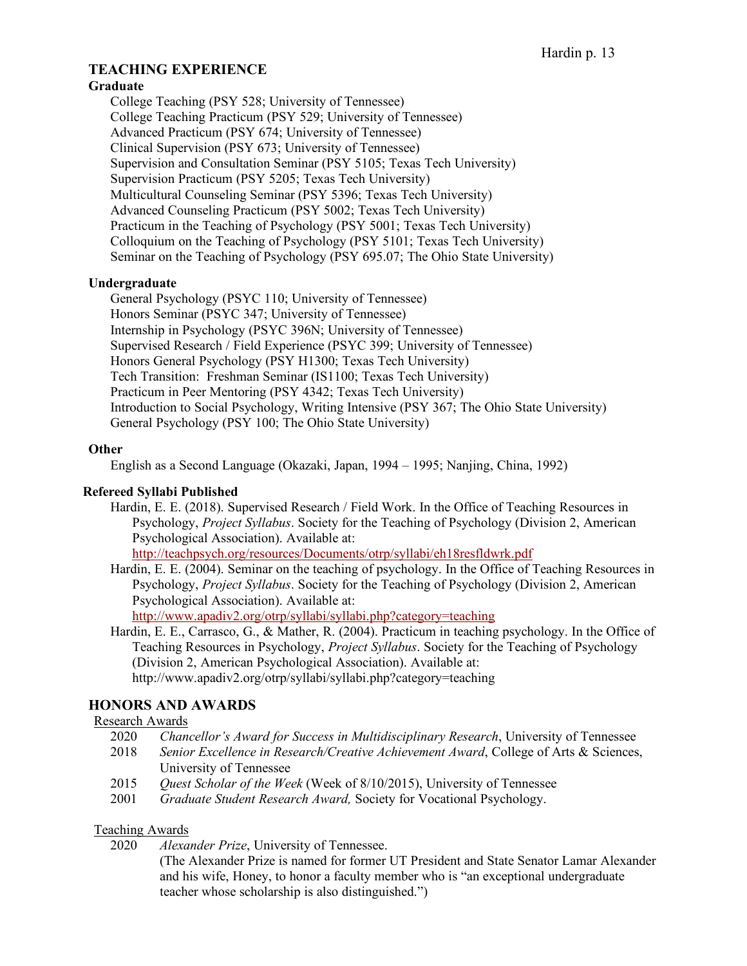# **TEACHING EXPERIENCE**

## **Graduate**

College Teaching (PSY 528; University of Tennessee) College Teaching Practicum (PSY 529; University of Tennessee) Advanced Practicum (PSY 674; University of Tennessee) Clinical Supervision (PSY 673; University of Tennessee) Supervision and Consultation Seminar (PSY 5105; Texas Tech University) Supervision Practicum (PSY 5205; Texas Tech University) Multicultural Counseling Seminar (PSY 5396; Texas Tech University) Advanced Counseling Practicum (PSY 5002; Texas Tech University) Practicum in the Teaching of Psychology (PSY 5001; Texas Tech University) Colloquium on the Teaching of Psychology (PSY 5101; Texas Tech University) Seminar on the Teaching of Psychology (PSY 695.07; The Ohio State University)

### **Undergraduate**

General Psychology (PSYC 110; University of Tennessee) Honors Seminar (PSYC 347; University of Tennessee) Internship in Psychology (PSYC 396N; University of Tennessee) Supervised Research / Field Experience (PSYC 399; University of Tennessee) Honors General Psychology (PSY H1300; Texas Tech University) Tech Transition: Freshman Seminar (IS1100; Texas Tech University) Practicum in Peer Mentoring (PSY 4342; Texas Tech University) Introduction to Social Psychology, Writing Intensive (PSY 367; The Ohio State University) General Psychology (PSY 100; The Ohio State University)

### **Other**

English as a Second Language (Okazaki, Japan, 1994 – 1995; Nanjing, China, 1992)

#### **Refereed Syllabi Published**

Hardin, E. E. (2018). Supervised Research / Field Work. In the Office of Teaching Resources in Psychology, *Project Syllabus*. Society for the Teaching of Psychology (Division 2, American Psychological Association). Available at:

http://teachpsych.org/resources/Documents/otrp/syllabi/eh18resfldwrk.pdf

Hardin, E. E. (2004). Seminar on the teaching of psychology. In the Office of Teaching Resources in Psychology, *Project Syllabus*. Society for the Teaching of Psychology (Division 2, American Psychological Association). Available at:

http://www.apadiv2.org/otrp/syllabi/syllabi.php?category=teaching

Hardin, E. E., Carrasco, G., & Mather, R. (2004). Practicum in teaching psychology. In the Office of Teaching Resources in Psychology, *Project Syllabus*. Society for the Teaching of Psychology (Division 2, American Psychological Association). Available at: http://www.apadiv2.org/otrp/syllabi/syllabi.php?category=teaching

# **HONORS AND AWARDS**

#### Research Awards

- 2020 *Chancellor's Award for Success in Multidisciplinary Research*, University of Tennessee
- 2018 *Senior Excellence in Research/Creative Achievement Award*, College of Arts & Sciences, University of Tennessee
- 2015 *Quest Scholar of the Week* (Week of 8/10/2015), University of Tennessee
- 2001 *Graduate Student Research Award,* Society for Vocational Psychology.

#### Teaching Awards

2020 *Alexander Prize*, University of Tennessee.

(The Alexander Prize is named for former UT President and State Senator Lamar Alexander and his wife, Honey, to honor a faculty member who is "an exceptional undergraduate teacher whose scholarship is also distinguished.")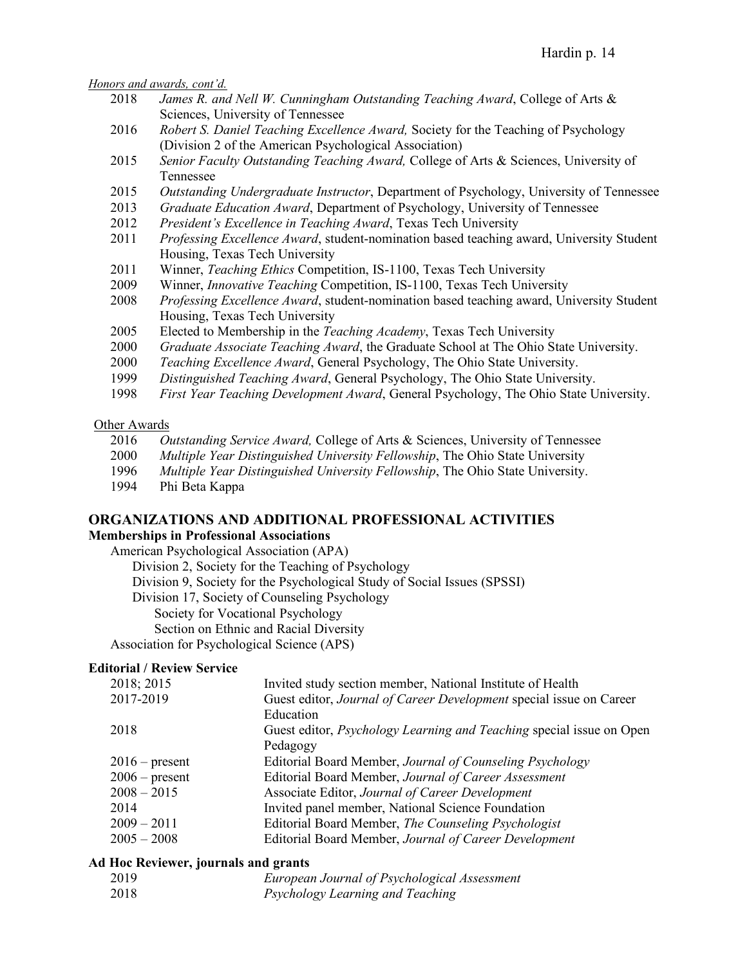*Honors and awards, cont'd.*

- 2018 *James R. and Nell W. Cunningham Outstanding Teaching Award*, College of Arts & Sciences, University of Tennessee
- 2016 *Robert S. Daniel Teaching Excellence Award,* Society for the Teaching of Psychology (Division 2 of the American Psychological Association)
- 2015 *Senior Faculty Outstanding Teaching Award,* College of Arts & Sciences, University of Tennessee
- 2015 *Outstanding Undergraduate Instructor*, Department of Psychology, University of Tennessee
- 2013 *Graduate Education Award*, Department of Psychology, University of Tennessee
- 2012 *President's Excellence in Teaching Award*, Texas Tech University
- 2011 *Professing Excellence Award*, student-nomination based teaching award, University Student Housing, Texas Tech University
- 2011 Winner, *Teaching Ethics* Competition, IS-1100, Texas Tech University
- 2009 Winner, *Innovative Teaching* Competition, IS-1100, Texas Tech University
- 2008 *Professing Excellence Award*, student-nomination based teaching award, University Student Housing, Texas Tech University
- 2005 Elected to Membership in the *Teaching Academy*, Texas Tech University
- 2000 *Graduate Associate Teaching Award*, the Graduate School at The Ohio State University.
- 2000 *Teaching Excellence Award*, General Psychology, The Ohio State University.
- 1999 *Distinguished Teaching Award*, General Psychology, The Ohio State University.
- 1998 *First Year Teaching Development Award*, General Psychology, The Ohio State University.

#### Other Awards

- 2016 *Outstanding Service Award,* College of Arts & Sciences, University of Tennessee
- 2000 *Multiple Year Distinguished University Fellowship*, The Ohio State University
- 1996 *Multiple Year Distinguished University Fellowship*, The Ohio State University.
- 1994 Phi Beta Kappa

#### **ORGANIZATIONS AND ADDITIONAL PROFESSIONAL ACTIVITIES Memberships in Professional Associations**

American Psychological Association (APA) Division 2, Society for the Teaching of Psychology Division 9, Society for the Psychological Study of Social Issues (SPSSI) Division 17, Society of Counseling Psychology Society for Vocational Psychology Section on Ethnic and Racial Diversity Association for Psychological Science (APS)

**Editorial / Review Service**

| Guest editor, Journal of Career Development special issue on Career         |
|-----------------------------------------------------------------------------|
|                                                                             |
| Guest editor, <i>Psychology Learning and Teaching</i> special issue on Open |
|                                                                             |
|                                                                             |
|                                                                             |
|                                                                             |
|                                                                             |
|                                                                             |
|                                                                             |
|                                                                             |

#### **Ad Hoc Reviewer, journals and grants**

| 2019 | European Journal of Psychological Assessment |
|------|----------------------------------------------|
| 2018 | Psychology Learning and Teaching             |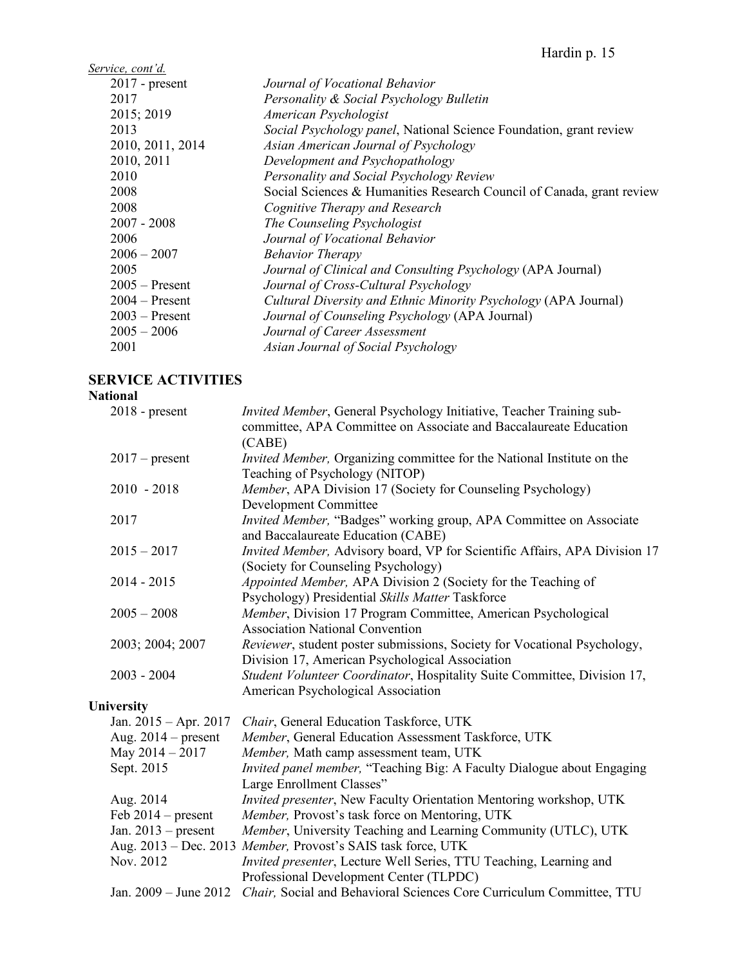Hardin p. 15

| <u>Service, cont'd.</u> |                                                                       |
|-------------------------|-----------------------------------------------------------------------|
| $2017$ - present        | Journal of Vocational Behavior                                        |
| 2017                    | Personality & Social Psychology Bulletin                              |
| 2015; 2019              | American Psychologist                                                 |
| 2013                    | Social Psychology panel, National Science Foundation, grant review    |
| 2010, 2011, 2014        | Asian American Journal of Psychology                                  |
| 2010, 2011              | Development and Psychopathology                                       |
| 2010                    | Personality and Social Psychology Review                              |
| 2008                    | Social Sciences & Humanities Research Council of Canada, grant review |
| 2008                    | Cognitive Therapy and Research                                        |
| $2007 - 2008$           | The Counseling Psychologist                                           |
| 2006                    | Journal of Vocational Behavior                                        |
| $2006 - 2007$           | <b>Behavior Therapy</b>                                               |
| 2005                    | Journal of Clinical and Consulting Psychology (APA Journal)           |
| $2005 -$ Present        | Journal of Cross-Cultural Psychology                                  |
| $2004 -$ Present        | Cultural Diversity and Ethnic Minority Psychology (APA Journal)       |
| $2003$ – Present        | Journal of Counseling Psychology (APA Journal)                        |
| $2005 - 2006$           | Journal of Career Assessment                                          |
| 2001                    | Asian Journal of Social Psychology                                    |
|                         |                                                                       |

# **SERVICE ACTIVITIES**

# **National**

| $2018$ - present      | Invited Member, General Psychology Initiative, Teacher Training sub-                       |
|-----------------------|--------------------------------------------------------------------------------------------|
|                       | committee, APA Committee on Associate and Baccalaureate Education                          |
|                       | (CABE)                                                                                     |
| $2017$ – present      | Invited Member, Organizing committee for the National Institute on the                     |
|                       | Teaching of Psychology (NITOP)                                                             |
| $2010 - 2018$         | Member, APA Division 17 (Society for Counseling Psychology)                                |
|                       | <b>Development Committee</b>                                                               |
| 2017                  | Invited Member, "Badges" working group, APA Committee on Associate                         |
|                       | and Baccalaureate Education (CABE)                                                         |
| $2015 - 2017$         | Invited Member, Advisory board, VP for Scientific Affairs, APA Division 17                 |
|                       | (Society for Counseling Psychology)                                                        |
| $2014 - 2015$         | Appointed Member, APA Division 2 (Society for the Teaching of                              |
|                       | Psychology) Presidential Skills Matter Taskforce                                           |
| $2005 - 2008$         | Member, Division 17 Program Committee, American Psychological                              |
|                       | <b>Association National Convention</b>                                                     |
| 2003; 2004; 2007      | Reviewer, student poster submissions, Society for Vocational Psychology,                   |
|                       | Division 17, American Psychological Association                                            |
| $2003 - 2004$         | Student Volunteer Coordinator, Hospitality Suite Committee, Division 17,                   |
|                       | American Psychological Association                                                         |
| University            |                                                                                            |
| Jan. 2015 - Apr. 2017 | Chair, General Education Taskforce, UTK                                                    |
| Aug. $2014$ – present | Member, General Education Assessment Taskforce, UTK                                        |
| May $2014 - 2017$     | Member, Math camp assessment team, UTK                                                     |
| Sept. 2015            | Invited panel member, "Teaching Big: A Faculty Dialogue about Engaging                     |
|                       | Large Enrollment Classes"                                                                  |
| Aug. 2014             | Invited presenter, New Faculty Orientation Mentoring workshop, UTK                         |
| Feb $2014$ – present  | Member, Provost's task force on Mentoring, UTK                                             |
| Jan. $2013$ – present | Member, University Teaching and Learning Community (UTLC), UTK                             |
|                       | Aug. 2013 - Dec. 2013 Member, Provost's SAIS task force, UTK                               |
| Nov. 2012             | Invited presenter, Lecture Well Series, TTU Teaching, Learning and                         |
|                       | Professional Development Center (TLPDC)                                                    |
|                       | Jan. 2009 – June 2012 Chair, Social and Behavioral Sciences Core Curriculum Committee, TTU |
|                       |                                                                                            |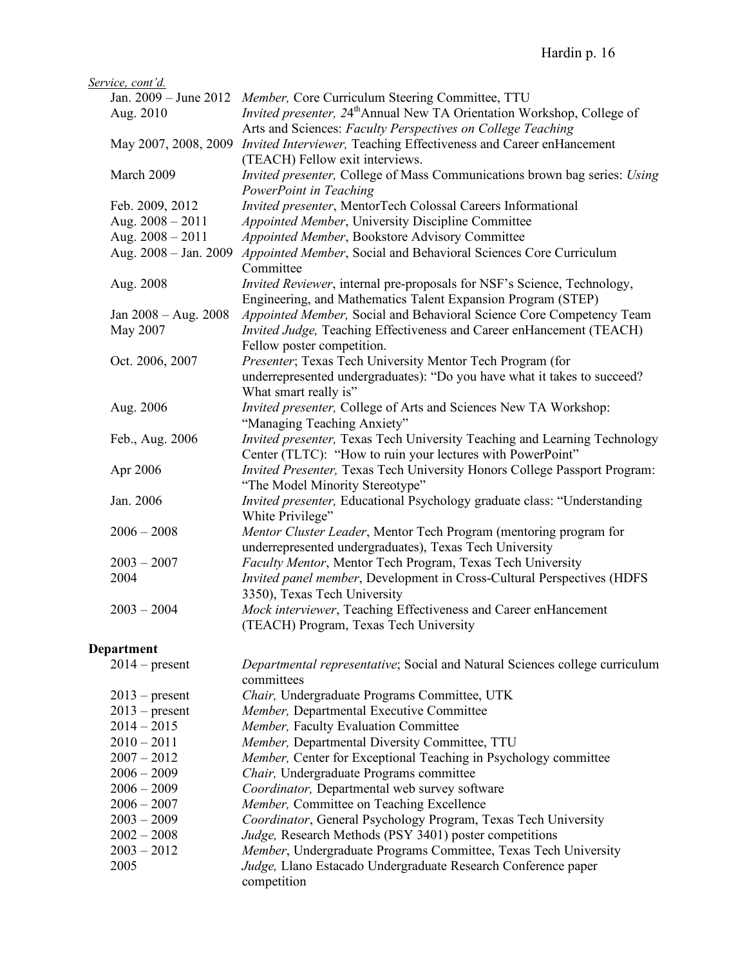| Service, cont'd.      |                                                                                         |
|-----------------------|-----------------------------------------------------------------------------------------|
|                       | Jan. 2009 - June 2012 Member, Core Curriculum Steering Committee, TTU                   |
| Aug. 2010             | <i>Invited presenter, 24<sup>th</sup>Annual New TA Orientation Workshop, College of</i> |
|                       | Arts and Sciences: Faculty Perspectives on College Teaching                             |
|                       | May 2007, 2008, 2009 Invited Interviewer, Teaching Effectiveness and Career enHancement |
|                       | (TEACH) Fellow exit interviews.                                                         |
| March 2009            | Invited presenter, College of Mass Communications brown bag series: Using               |
|                       | PowerPoint in Teaching                                                                  |
| Feb. 2009, 2012       | Invited presenter, MentorTech Colossal Careers Informational                            |
| Aug. $2008 - 2011$    | Appointed Member, University Discipline Committee                                       |
| Aug. 2008 - 2011      | Appointed Member, Bookstore Advisory Committee                                          |
| Aug. 2008 - Jan. 2009 | Appointed Member, Social and Behavioral Sciences Core Curriculum                        |
|                       | Committee                                                                               |
| Aug. 2008             | Invited Reviewer, internal pre-proposals for NSF's Science, Technology,                 |
|                       | Engineering, and Mathematics Talent Expansion Program (STEP)                            |
| Jan 2008 - Aug. 2008  | Appointed Member, Social and Behavioral Science Core Competency Team                    |
| May 2007              | Invited Judge, Teaching Effectiveness and Career enHancement (TEACH)                    |
|                       | Fellow poster competition.                                                              |
| Oct. 2006, 2007       | Presenter; Texas Tech University Mentor Tech Program (for                               |
|                       | underrepresented undergraduates): "Do you have what it takes to succeed?                |
|                       | What smart really is"                                                                   |
| Aug. 2006             | Invited presenter, College of Arts and Sciences New TA Workshop:                        |
|                       | "Managing Teaching Anxiety"                                                             |
| Feb., Aug. 2006       | Invited presenter, Texas Tech University Teaching and Learning Technology               |
|                       | Center (TLTC): "How to ruin your lectures with PowerPoint"                              |
| Apr 2006              | Invited Presenter, Texas Tech University Honors College Passport Program:               |
|                       | "The Model Minority Stereotype"                                                         |
| Jan. 2006             | Invited presenter, Educational Psychology graduate class: "Understanding                |
|                       | White Privilege"                                                                        |
| $2006 - 2008$         | Mentor Cluster Leader, Mentor Tech Program (mentoring program for                       |
|                       | underrepresented undergraduates), Texas Tech University                                 |
| $2003 - 2007$         | Faculty Mentor, Mentor Tech Program, Texas Tech University                              |
| 2004                  | Invited panel member, Development in Cross-Cultural Perspectives (HDFS                  |
|                       | 3350), Texas Tech University                                                            |
| $2003 - 2004$         | Mock interviewer, Teaching Effectiveness and Career enHancement                         |
|                       | (TEACH) Program, Texas Tech University                                                  |
|                       |                                                                                         |

# **Department**

| $2014$ – present | Departmental representative; Social and Natural Sciences college curriculum |
|------------------|-----------------------------------------------------------------------------|
|                  | committees                                                                  |
| $2013$ – present | Chair, Undergraduate Programs Committee, UTK                                |
| $2013$ – present | Member, Departmental Executive Committee                                    |
| $2014 - 2015$    | Member, Faculty Evaluation Committee                                        |
| $2010 - 2011$    | Member, Departmental Diversity Committee, TTU                               |
| $2007 - 2012$    | Member, Center for Exceptional Teaching in Psychology committee             |
| $2006 - 2009$    | <i>Chair</i> , Undergraduate Programs committee                             |
| $2006 - 2009$    | Coordinator, Departmental web survey software                               |
| $2006 - 2007$    | <i>Member</i> , Committee on Teaching Excellence                            |
| $2003 - 2009$    | Coordinator, General Psychology Program, Texas Tech University              |
| $2002 - 2008$    | <i>Judge</i> , Research Methods (PSY 3401) poster competitions              |
| $2003 - 2012$    | Member, Undergraduate Programs Committee, Texas Tech University             |
| 2005             | Judge, Llano Estacado Undergraduate Research Conference paper               |
|                  | competition                                                                 |
|                  |                                                                             |